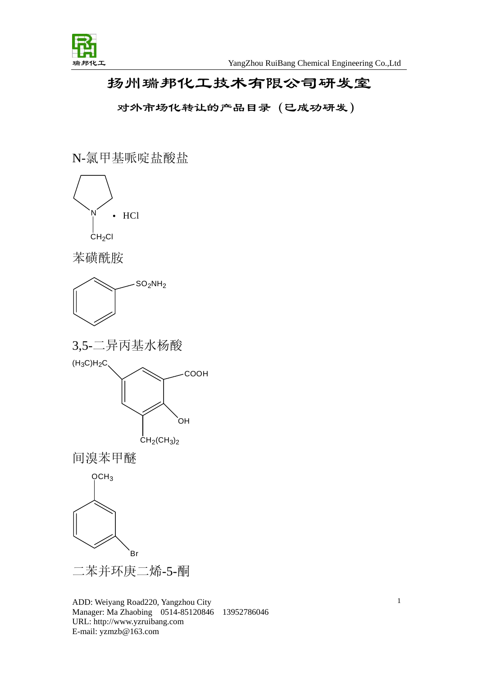

## 扬州瑞邦化工技术有限公司研发室

对外市场化转让的产品目录(已成功研发)

N-氯甲基哌啶盐酸盐



ADD: Weiyang Road220, Yangzhou City Manager: Ma Zhaobing 0514-85120846 13952786046 URL: http://www.yzruibang.com E-mail: yzmzb@163.com

1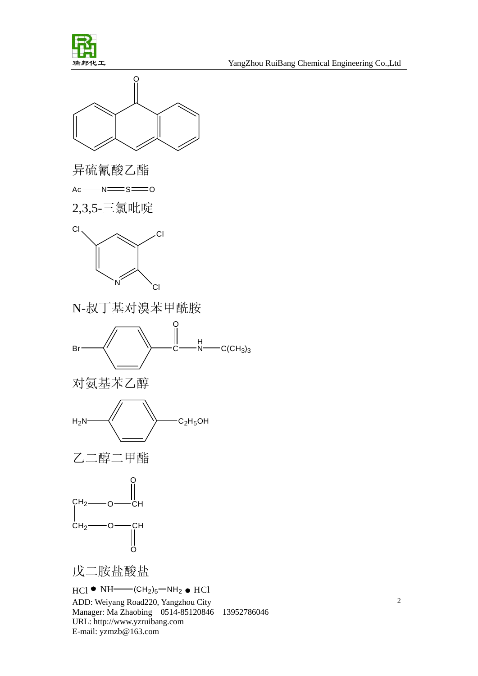



异硫氰酸乙酯

 $Ac$   $N \equiv$   $S \equiv 0$ 

2,3,5-三氯吡啶



N-叔丁基对溴苯甲酰胺









戊二胺盐酸盐

$$
HCI \bullet NH \xrightarrow{\bullet} CH_2)_5 \xrightarrow{\bullet} NH_2 \bullet HCI
$$

ADD: Weiyang Road220, Yangzhou City Manager: Ma Zhaobing 0514-85120846 13952786046 URL: http://www.yzruibang.com E-mail: yzmzb@163.com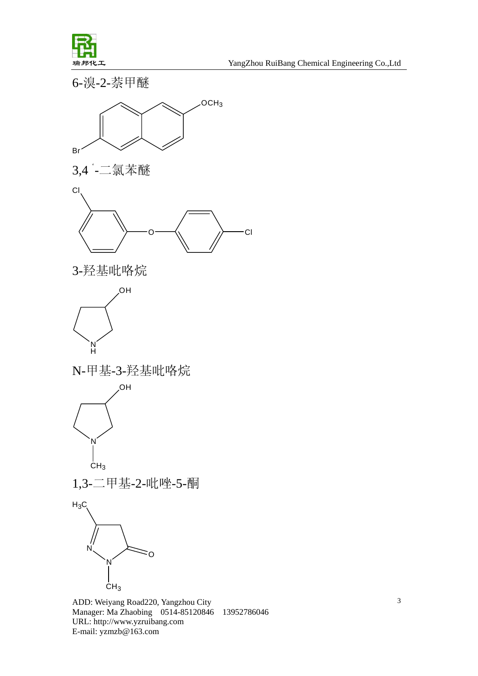

瑞邦化工 YangZhou RuiBang Chemical Engineering Co.,Ltd

6-溴-2-萘甲醚







3-羟基吡咯烷



N-甲基-3-羟基吡咯烷



1,3-二甲基-2-吡唑-5-酮

 $H_3C_3$ 



ADD: Weiyang Road220, Yangzhou City Manager: Ma Zhaobing 0514-85120846 13952786046 URL: http://www.yzruibang.com E-mail: yzmzb@163.com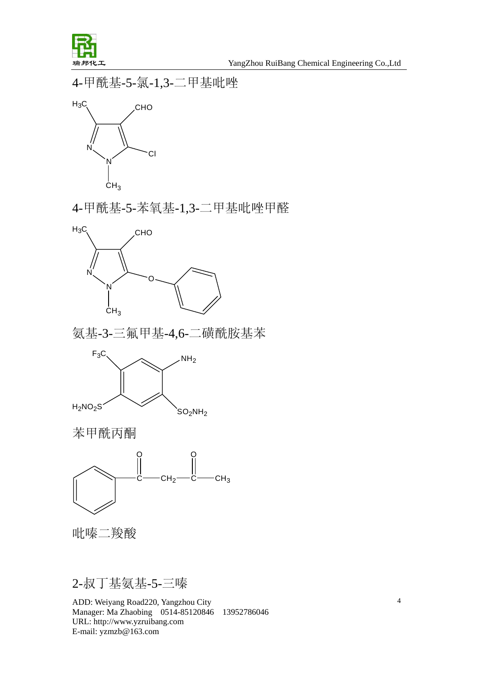

4-甲酰基-5-氯-1,3-二甲基吡唑



4-甲酰基-5-苯氧基-1,3-二甲基吡唑甲醛



氨基-3-三氟甲基-4,6-二磺酰胺基苯



苯甲酰丙酮



吡嗪二羧酸

## 2-叔丁基氨基-5-三嗪

ADD: Weiyang Road220, Yangzhou City Manager: Ma Zhaobing 0514-85120846 13952786046 URL: http://www.yzruibang.com E-mail: yzmzb@163.com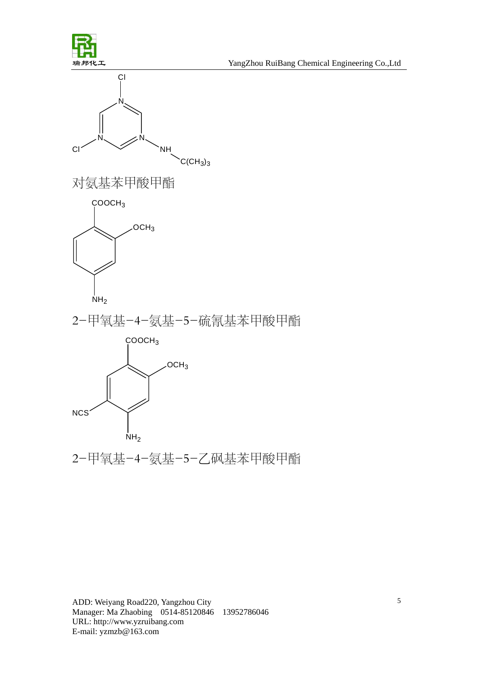



对氨基苯甲酸甲酯



2-甲氧基-4-氨基-5-硫氰基苯甲酸甲酯



2-甲氧基-4-氨基-5-乙砜基苯甲酸甲酯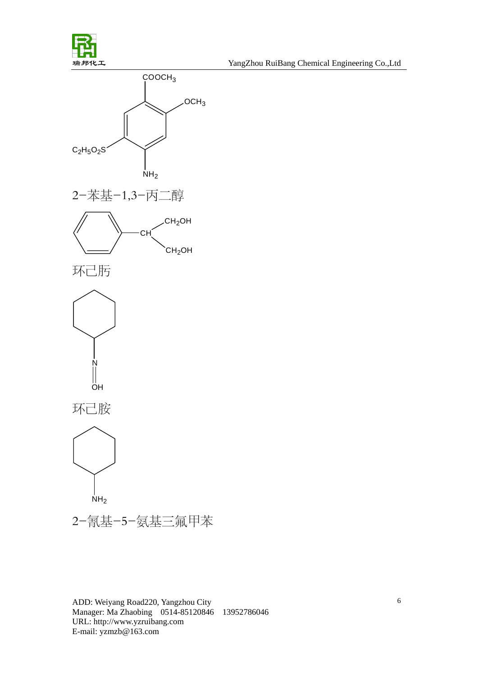J

瑞邦化工 YangZhou RuiBang Chemical Engineering Co.,Ltd



ADD: Weiyang Road220, Yangzhou City Manager: Ma Zhaobing 0514-85120846 13952786046 URL: http://www.yzruibang.com E-mail: yzmzb@163.com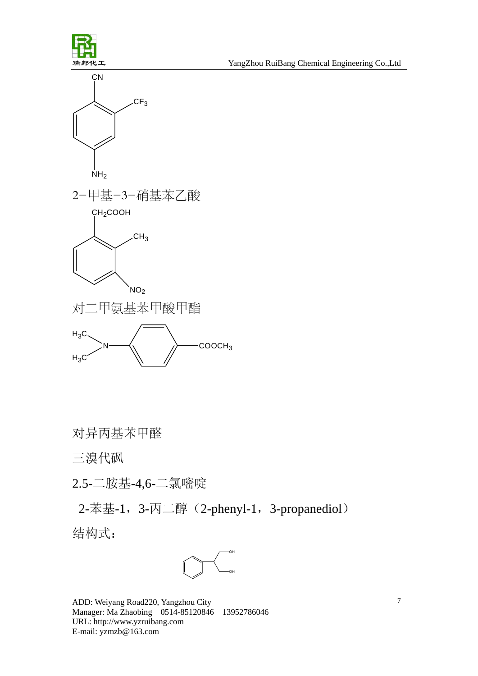









对异丙基苯甲醛

三溴代砜

2.5-二胺基-4,6-二氯嘧啶

2-苯基-1, 3-丙二醇(2-phenyl-1, 3-propanediol) 结构式: